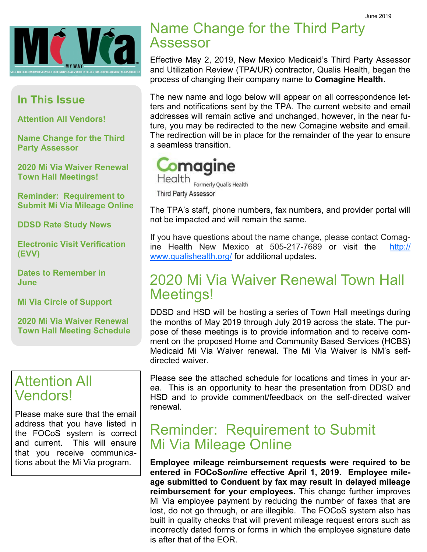

#### **In This Issue**

**Attention All Vendors!**

**Name Change for the Third Party Assessor**

**2020 Mi Via Waiver Renewal Town Hall Meetings!**

**Reminder: Requirement to Submit Mi Via Mileage Online**

**DDSD Rate Study News**

**Electronic Visit Verification (EVV)** 

**Dates to Remember in June**

**Mi Via Circle of Support**

**2020 Mi Via Waiver Renewal Town Hall Meeting Schedule**

#### Attention All Vendors!

Please make sure that the email address that you have listed in the FOCoS system is correct and current. This will ensure that you receive communications about the Mi Via program.

# Name Change for the Third Party Assessor

Effective May 2, 2019, New Mexico Medicaid's Third Party Assessor and Utilization Review (TPA/UR) contractor, Qualis Health, began the process of changing their company name to **Comagine Health**.

The new name and logo below will appear on all correspondence letters and notifications sent by the TPA. The current website and email addresses will remain active and unchanged, however, in the near future, you may be redirected to the new Comagine website and email. The redirection will be in place for the remainder of the year to ensure a seamless transition.



The TPA's staff, phone numbers, fax numbers, and provider portal will not be impacted and will remain the same.

If you have questions about the name change, please contact Comagine Health New Mexico at 505-217-7689 or visit the [http://](http://www.qualishealth.org/) [www.qualishealth.org/](http://www.qualishealth.org/) for additional updates.

# 2020 Mi Via Waiver Renewal Town Hall Meetings!

DDSD and HSD will be hosting a series of Town Hall meetings during the months of May 2019 through July 2019 across the state. The purpose of these meetings is to provide information and to receive comment on the proposed Home and Community Based Services (HCBS) Medicaid Mi Via Waiver renewal. The Mi Via Waiver is NM's selfdirected waiver.

Please see the attached schedule for locations and times in your area. This is an opportunity to hear the presentation from DDSD and HSD and to provide comment/feedback on the self-directed waiver renewal.

### Reminder: Requirement to Submit Mi Via Mileage Online

**Employee mileage reimbursement requests were required to be entered in FOCoS***online* **effective April 1, 2019. Employee mileage submitted to Conduent by fax may result in delayed mileage reimbursement for your employees.** This change further improves Mi Via employee payment by reducing the number of faxes that are lost, do not go through, or are illegible. The FOCoS system also has built in quality checks that will prevent mileage request errors such as incorrectly dated forms or forms in which the employee signature date is after that of the EOR.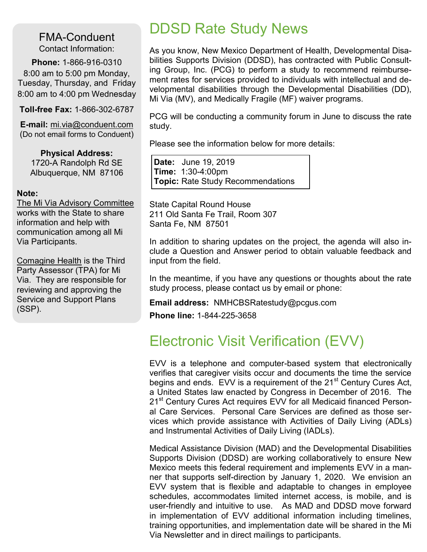FMA-Conduent Contact Information:

**Phone:** 1-866-916-0310 8:00 am to 5:00 pm Monday, Tuesday, Thursday, and Friday 8:00 am to 4:00 pm Wednesday

**Toll-free Fax:** 1-866-302-6787

**E-mail:** mi.via@conduent.com (Do not email forms to Conduent)

**Physical Address:** 1720-A Randolph Rd SE Albuquerque, NM 87106

#### **Note:**

The Mi Via Advisory Committee works with the State to share information and help with communication among all Mi Via Participants.

Comagine Health is the Third Party Assessor (TPA) for Mi Via. They are responsible for reviewing and approving the Service and Support Plans (SSP).

# DDSD Rate Study News

As you know, New Mexico Department of Health, Developmental Disabilities Supports Division (DDSD), has contracted with Public Consulting Group, Inc. (PCG) to perform a study to recommend reimbursement rates for services provided to individuals with intellectual and developmental disabilities through the Developmental Disabilities (DD), Mi Via (MV), and Medically Fragile (MF) waiver programs.

PCG will be conducting a community forum in June to discuss the rate study.

Please see the information below for more details:

**Date:** June 19, 2019 **Time:** 1:30-4:00pm **Topic:** Rate Study Recommendations

State Capital Round House 211 Old Santa Fe Trail, Room 307 Santa Fe, NM 87501

In addition to sharing updates on the project, the agenda will also include a Question and Answer period to obtain valuable feedback and input from the field.

In the meantime, if you have any questions or thoughts about the rate study process, please contact us by email or phone:

**Email address:** NMHCBSRatestudy@pcgus.com **Phone line:** 1-844-225-3658

# Electronic Visit Verification (EVV)

EVV is a telephone and computer-based system that electronically verifies that caregiver visits occur and documents the time the service begins and ends. EVV is a requirement of the 21<sup>st</sup> Century Cures Act, a United States law enacted by Congress in December of 2016. The 21<sup>st</sup> Century Cures Act requires EVV for all Medicaid financed Personal Care Services. Personal Care Services are defined as those services which provide assistance with Activities of Daily Living (ADLs) and Instrumental Activities of Daily Living (IADLs).

Medical Assistance Division (MAD) and the Developmental Disabilities Supports Division (DDSD) are working collaboratively to ensure New Mexico meets this federal requirement and implements EVV in a manner that supports self-direction by January 1, 2020. We envision an EVV system that is flexible and adaptable to changes in employee schedules, accommodates limited internet access, is mobile, and is user-friendly and intuitive to use. As MAD and DDSD move forward in implementation of EVV additional information including timelines, training opportunities, and implementation date will be shared in the Mi Via Newsletter and in direct mailings to participants.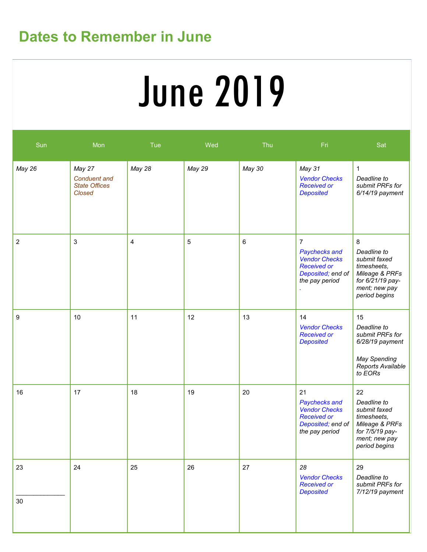# **Dates to Remember in June**

# June 2019

| Sun              | Mon                                                             | Tue    | Wed         | Thu    | Fri                                                                                                                  | Sat                                                                                                                     |
|------------------|-----------------------------------------------------------------|--------|-------------|--------|----------------------------------------------------------------------------------------------------------------------|-------------------------------------------------------------------------------------------------------------------------|
| May 26           | May 27<br><b>Conduent</b> and<br><b>State Offices</b><br>Closed | May 28 | May 29      | May 30 | May 31<br><b>Vendor Checks</b><br><b>Received or</b><br><b>Deposited</b>                                             | $\mathbf{1}$<br>Deadline to<br>submit PRFs for<br>6/14/19 payment                                                       |
| $\boldsymbol{2}$ | $\ensuremath{\mathsf{3}}$                                       | 4      | $\mathbf 5$ | 6      | $\overline{7}$<br>Paychecks and<br><b>Vendor Checks</b><br><b>Received or</b><br>Deposited; end of<br>the pay period | 8<br>Deadline to<br>submit faxed<br>timesheets,<br>Mileage & PRFs<br>for 6/21/19 pay-<br>ment; new pay<br>period begins |
| 9                | 10                                                              | 11     | 12          | 13     | 14<br><b>Vendor Checks</b><br><b>Received or</b><br><b>Deposited</b>                                                 | 15<br>Deadline to<br>submit PRFs for<br>$6/28/19$ payment<br>May Spending<br>Reports Available<br>to EORs               |
| 16               | 17                                                              | 18     | 19          | 20     | 21<br>Paychecks and<br><b>Vendor Checks</b><br><b>Received or</b><br>Deposited; end of<br>the pay period             | 22<br>Deadline to<br>submit faxed<br>timesheets,<br>Mileage & PRFs<br>for 7/5/19 pay-<br>ment; new pay<br>period begins |
| 23<br>30         | 24                                                              | 25     | 26          | 27     | 28<br><b>Vendor Checks</b><br><b>Received or</b><br><b>Deposited</b>                                                 | 29<br>Deadline to<br>submit PRFs for<br>7/12/19 payment                                                                 |